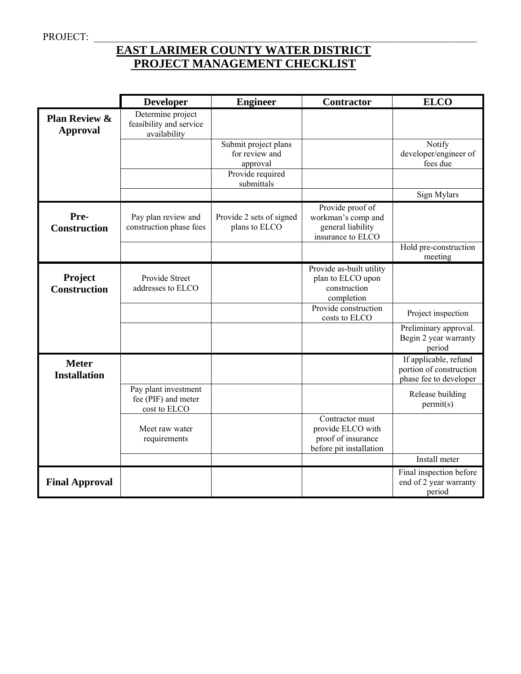# **EAST LARIMER COUNTY WATER DISTRICT PROJECT MANAGEMENT CHECKLIST**

|                                             | <b>Developer</b>                                             | <b>Engineer</b>                                    | <b>Contractor</b>                                                                     | <b>ELCO</b>                                                                |
|---------------------------------------------|--------------------------------------------------------------|----------------------------------------------------|---------------------------------------------------------------------------------------|----------------------------------------------------------------------------|
| <b>Plan Review &amp;</b><br><b>Approval</b> | Determine project<br>feasibility and service<br>availability |                                                    |                                                                                       |                                                                            |
|                                             |                                                              | Submit project plans<br>for review and<br>approval |                                                                                       | Notify<br>developer/engineer of<br>fees due                                |
|                                             |                                                              | Provide required<br>submittals                     |                                                                                       |                                                                            |
|                                             |                                                              |                                                    |                                                                                       | Sign Mylars                                                                |
| Pre-<br><b>Construction</b>                 | Pay plan review and<br>construction phase fees               | Provide 2 sets of signed<br>plans to ELCO          | Provide proof of<br>workman's comp and<br>general liability<br>insurance to ELCO      |                                                                            |
|                                             |                                                              |                                                    |                                                                                       | Hold pre-construction<br>meeting                                           |
| Project<br><b>Construction</b>              | Provide Street<br>addresses to ELCO                          |                                                    | Provide as-built utility<br>plan to ELCO upon<br>construction<br>completion           |                                                                            |
|                                             |                                                              |                                                    | Provide construction<br>costs to ELCO                                                 | Project inspection                                                         |
|                                             |                                                              |                                                    |                                                                                       | Preliminary approval.<br>Begin 2 year warranty<br>period                   |
| <b>Meter</b><br><b>Installation</b>         |                                                              |                                                    |                                                                                       | If applicable, refund<br>portion of construction<br>phase fee to developer |
|                                             | Pay plant investment<br>fee (PIF) and meter<br>cost to ELCO  |                                                    |                                                                                       | Release building<br>permit(s)                                              |
|                                             | Meet raw water<br>requirements                               |                                                    | Contractor must<br>provide ELCO with<br>proof of insurance<br>before pit installation |                                                                            |
|                                             |                                                              |                                                    |                                                                                       | Install meter                                                              |
| <b>Final Approval</b>                       |                                                              |                                                    |                                                                                       | Final inspection before<br>end of 2 year warranty<br>period                |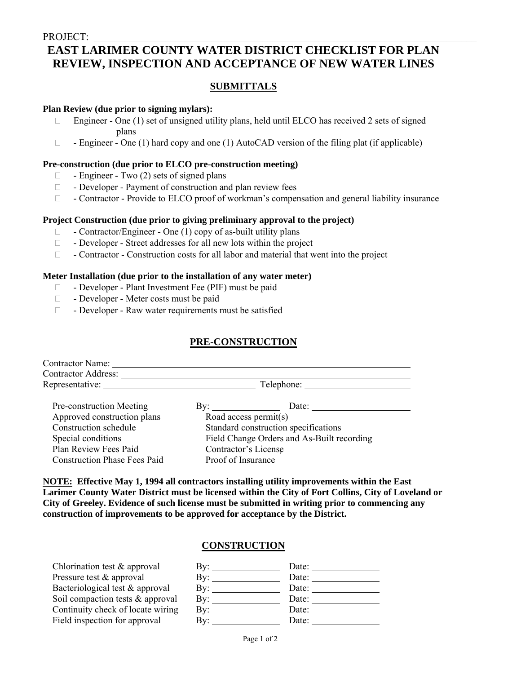# **EAST LARIMER COUNTY WATER DISTRICT CHECKLIST FOR PLAN REVIEW, INSPECTION AND ACCEPTANCE OF NEW WATER LINES**

## **SUBMITTALS**

#### **Plan Review (due prior to signing mylars):**

- Engineer One  $(1)$  set of unsigned utility plans, held until ELCO has received 2 sets of signed plans
- $\Box$  Engineer One (1) hard copy and one (1) AutoCAD version of the filing plat (if applicable)

#### **Pre-construction (due prior to ELCO pre-construction meeting)**

- $\Box$  Engineer Two (2) sets of signed plans
- Developer Payment of construction and plan review fees
- $\Box$  Contractor Provide to ELCO proof of workman's compensation and general liability insurance

#### **Project Construction (due prior to giving preliminary approval to the project)**

- Contractor/Engineer One (1) copy of as-built utility plans
- Developer Street addresses for all new lots within the project
- $\Box$  Contractor Construction costs for all labor and material that went into the project

#### **Meter Installation (due prior to the installation of any water meter)**

- Developer Plant Investment Fee (PIF) must be paid
- Developer Meter costs must be paid
- $\Box$  Developer Raw water requirements must be satisfied

### **PRE-CONSTRUCTION**

| <b>Contractor Name:</b>             |                                            |  |
|-------------------------------------|--------------------------------------------|--|
| Contractor Address: _               |                                            |  |
| Representative:                     | Telephone:                                 |  |
| Pre-construction Meeting            | By: $\qquad \qquad$<br>Date:               |  |
| Approved construction plans         | Road access permit(s)                      |  |
| Construction schedule               | Standard construction specifications       |  |
| Special conditions                  | Field Change Orders and As-Built recording |  |
| Plan Review Fees Paid               | Contractor's License                       |  |
| <b>Construction Phase Fees Paid</b> | Proof of Insurance                         |  |

**NOTE: Effective May 1, 1994 all contractors installing utility improvements within the East Larimer County Water District must be licensed within the City of Fort Collins, City of Loveland or City of Greeley. Evidence of such license must be submitted in writing prior to commencing any construction of improvements to be approved for acceptance by the District.** 

### **CONSTRUCTION**

| Chlorination test $&$ approval    | $\mathbf{B} \mathbf{v}$ | Date: |
|-----------------------------------|-------------------------|-------|
| Pressure test & approval          | Bv:                     | Date: |
| Bacteriological test & approval   | $\mathbf{By:}$          | Date: |
| Soil compaction tests & approval  | $\rm\,By:$              | Date: |
| Continuity check of locate wiring | Bv:                     | Date: |
| Field inspection for approval     | Bv:                     | Date: |